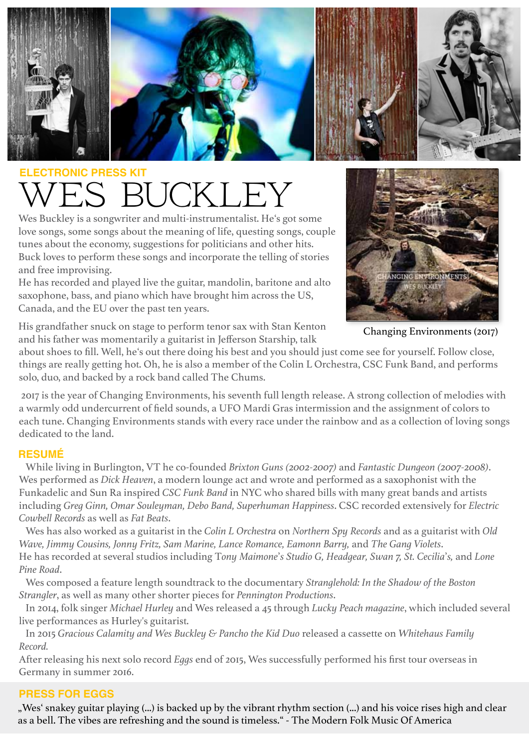

# WES BUCKLEY **ECTRONIC PRESS KIT**

Wes Buckley is a songwriter and multi-instrumentalist. He's got some love songs, some songs about the meaning of life, questing songs, couple tunes about the economy, suggestions for politicians and other hits. Buck loves to perform these songs and incorporate the telling of stories and free improvising.

He has recorded and played live the guitar, mandolin, baritone and alto saxophone, bass, and piano which have brought him across the US, Canada, and the EU over the past ten years.



Changing Environments (2017)

His grandfather snuck on stage to perform tenor sax with Stan Kenton and his father was momentarily a guitarist in Jefferson Starship, talk

about shoes to fill. Well, he's out there doing his best and you should just come see for yourself. Follow close, things are really getting hot. Oh, he is also a member of the Colin L Orchestra, CSC Funk Band, and performs solo, duo, and backed by a rock band called The Chums.

 2017 is the year of Changing Environments, his seventh full length release. A strong collection of melodies with a warmly odd undercurrent of field sounds, a UFO Mardi Gras intermission and the assignment of colors to each tune. Changing Environments stands with every race under the rainbow and as a collection of loving songs dedicated to the land.

## **RESUMÉ**

 While living in Burlington, VT he co-founded *Brixton Guns (2002-2007)* and *Fantastic Dungeon (2007-2008)*. Wes performed as *Dick Heaven*, a modern lounge act and wrote and performed as a saxophonist with the Funkadelic and Sun Ra inspired *CSC Funk Band* in NYC who shared bills with many great bands and artists including *Greg Ginn, Omar Souleyman, Debo Band, Superhuman Happiness*. CSC recorded extensively for *Electric Cowbell Records* as well as *Fat Beats*.

 Wes has also worked as a guitarist in the *Colin L Orchestra* on *Northern Spy Records* and as a guitarist with *Old Wave, Jimmy Cousins, Jonny Fritz, Sam Marine, Lance Romance, Eamonn Barry,* and *The Gang Violets*. He has recorded at several studios including T*ony Maimone*'*s Studio G, Headgear, Swan 7, St. Cecilia*'*s,* and *Lone Pine Road*.

 Wes composed a feature length soundtrack to the documentary *Stranglehold: In the Shadow of the Boston Strangler*, as well as many other shorter pieces for *Pennington Productions*.

 In 2014, folk singer *Michael Hurley* and Wes released a 45 through *Lucky Peach magazine*, which included several live performances as Hurley's guitarist.

 In 2015 *Gracious Calamity and Wes Buckley & Pancho the Kid Duo* released a cassette on *Whitehaus Family Record.*

After releasing his next solo record *Eggs* end of 2015, Wes successfully performed his first tour overseas in Germany in summer 2016.

# **PRESS FOR EGGS**

"Wes' snakey guitar playing (...) is backed up by the vibrant rhythm section (...) and his voice rises high and clear as a bell. The vibes are refreshing and the sound is timeless." - The Modern Folk Music Of America